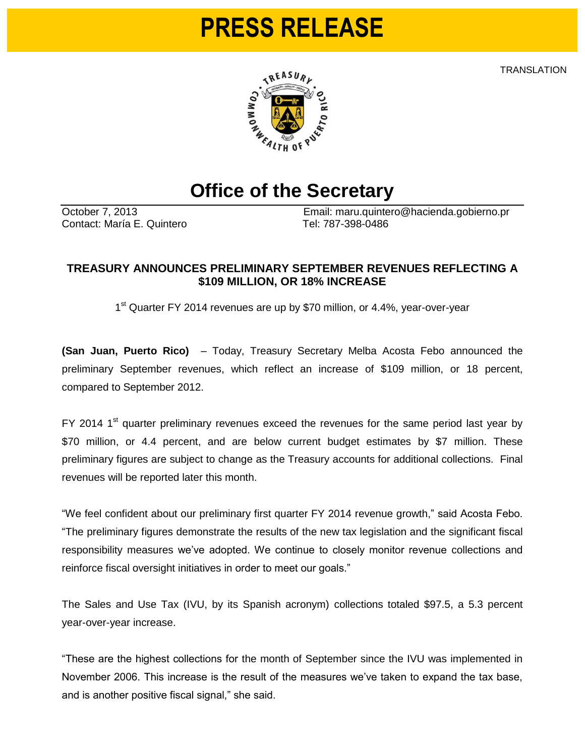## **PRESS RELEASE**

**TRANSLATION** 



## **Office of the Secretary**

Contact: María E. Quintero Tel: 787-398-0486

October 7, 2013 Email: maru.quintero@hacienda.gobierno.pr

## **TREASURY ANNOUNCES PRELIMINARY SEPTEMBER REVENUES REFLECTING A \$109 MILLION, OR 18% INCREASE**

1<sup>st</sup> Quarter FY 2014 revenues are up by \$70 million, or 4.4%, year-over-year

**(San Juan, Puerto Rico)** – Today, Treasury Secretary Melba Acosta Febo announced the preliminary September revenues, which reflect an increase of \$109 million, or 18 percent, compared to September 2012.

FY 2014 1<sup>st</sup> quarter preliminary revenues exceed the revenues for the same period last year by \$70 million, or 4.4 percent, and are below current budget estimates by \$7 million. These preliminary figures are subject to change as the Treasury accounts for additional collections. Final revenues will be reported later this month.

"We feel confident about our preliminary first quarter FY 2014 revenue growth," said Acosta Febo. "The preliminary figures demonstrate the results of the new tax legislation and the significant fiscal responsibility measures we've adopted. We continue to closely monitor revenue collections and reinforce fiscal oversight initiatives in order to meet our goals."

The Sales and Use Tax (IVU, by its Spanish acronym) collections totaled \$97.5, a 5.3 percent year-over-year increase.

"These are the highest collections for the month of September since the IVU was implemented in November 2006. This increase is the result of the measures we've taken to expand the tax base, and is another positive fiscal signal," she said.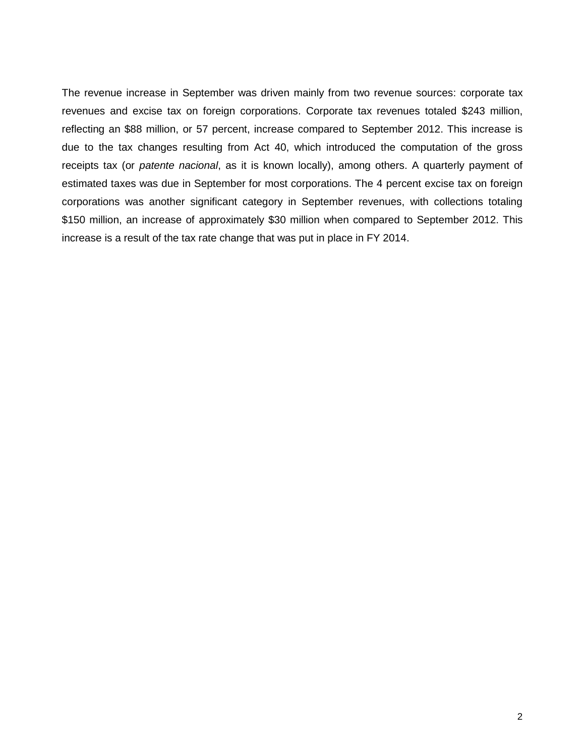The revenue increase in September was driven mainly from two revenue sources: corporate tax revenues and excise tax on foreign corporations. Corporate tax revenues totaled \$243 million, reflecting an \$88 million, or 57 percent, increase compared to September 2012. This increase is due to the tax changes resulting from Act 40, which introduced the computation of the gross receipts tax (or *patente nacional*, as it is known locally), among others. A quarterly payment of estimated taxes was due in September for most corporations. The 4 percent excise tax on foreign corporations was another significant category in September revenues, with collections totaling \$150 million, an increase of approximately \$30 million when compared to September 2012. This increase is a result of the tax rate change that was put in place in FY 2014.